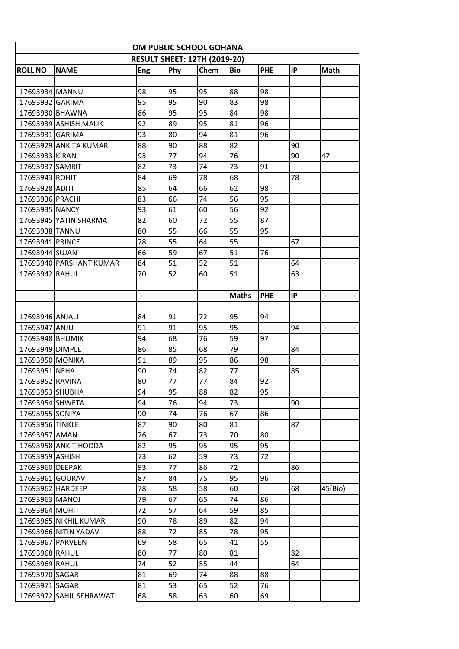| <b>NAME</b><br>Phy<br>Chem<br><b>Bio</b><br>PHE<br>IP<br><b>Math</b><br>Eng<br>98<br>95<br>95<br>88<br>17693934 MANNU<br>98<br>95<br>95<br>90<br>83<br>98<br>17693932 GARIMA<br>95<br>95<br>84<br>98<br>86<br>17693930 BHAWNA<br>92<br>89<br>81<br>96<br>17693939 ASHISH MALIK<br>95<br>93<br>81<br>80<br>94<br>96<br>17693931 GARIMA<br>88<br>90<br>88<br>82<br>17693929 ANKITA KUMARI<br>90<br>77<br>76<br>95<br>94<br>47<br>17693933 KIRAN<br>90<br>82<br>73<br>74<br>73<br>17693937 SAMRIT<br>91<br>84<br>78<br>69<br>68<br>78<br>17693943 ROHIT<br>64<br>61<br>85<br>66<br>98<br>17693928 ADITI<br>83<br>66<br>56<br>95<br>17693936 PRACHI<br>74<br>61<br>17693935 NANCY<br>93<br>60<br>56<br>92<br>82<br>60<br>72<br>55<br>87<br>17693945 YATIN SHARMA<br>55<br>66<br>55<br>17693938 TANNU<br>80<br>95<br>17693941 PRINCE<br>78<br>55<br>64<br>55<br>67<br>66<br>59<br>51<br>67<br>76<br>17693944 SUJAN<br>51<br>51<br>64<br>84<br>52<br>17693940 PARSHANT KUMAR<br>52<br>51<br>17693942 RAHUL<br>70<br>60<br>63<br>IP<br>PHE<br><b>Maths</b><br>84<br>91<br>72<br>95<br>94<br>17693946 ANJALI<br>91<br>91<br>17693947 ANJU<br>95<br>95<br>94<br>94<br>68<br>76<br>59<br>17693948 BHUMIK<br>97<br>85<br>79<br>86<br>68<br>84<br>17693949 DIMPLE<br>95<br>17693950 MONIKA<br>91<br>89<br>86<br>98<br>77<br>90<br>74<br>82<br>85<br>17693951 NEHA<br>77<br>77<br>17693952 RAVINA<br>80<br>84<br>92<br>94<br>95<br>88<br>82<br>95<br>17693953 SHUBHA<br>17693954 SHWETA<br>94<br>76<br>94<br>73<br>90<br>17693955 SONIYA<br>90<br>74<br>76<br>67<br>86<br>87<br>90<br>17693956 TINKLE<br>80<br>81<br>87<br>70<br>17693957 AMAN<br>76<br>67<br>73<br>80<br>82<br>95<br>95<br>95<br>17693958 ANKIT HOODA<br>95<br>62<br>73<br>59<br>73<br>72<br>17693959 ASHISH<br>93<br>17693960 DEEPAK<br>77<br>86<br>72<br>86<br>87<br>84<br>75<br>17693961 GOURAV<br>95<br>96<br>78<br>58<br>60<br>17693962 HARDEEP<br>58<br>68<br>45(Bio)<br>17693963 MANOJ<br>79<br>67<br>65<br>74<br>86<br>72<br>57<br>59<br>17693964 MOHIT<br>64<br>85<br>78<br>82<br>90<br>94<br>17693965 NIKHIL KUMAR<br>89<br>72<br>95<br>17693966 NITIN YADAV<br>88<br>85<br>78<br>17693967 PARVEEN<br>69<br>58<br>65<br>41<br>55<br>80<br>77<br>81<br>17693968 RAHUL<br>80<br>82<br>52<br>74<br>55<br>44<br>64<br>17693969 RAHUL<br>81<br>69<br>17693970 SAGAR<br>74<br>88<br>88<br>53<br>52<br>76<br>81<br>65<br>17693971 SAGAR<br>17693972 SAHIL SEHRAWAT<br>60<br>69 | OM PUBLIC SCHOOL GOHANA             |  |    |    |    |  |  |  |  |  |  |  |
|---------------------------------------------------------------------------------------------------------------------------------------------------------------------------------------------------------------------------------------------------------------------------------------------------------------------------------------------------------------------------------------------------------------------------------------------------------------------------------------------------------------------------------------------------------------------------------------------------------------------------------------------------------------------------------------------------------------------------------------------------------------------------------------------------------------------------------------------------------------------------------------------------------------------------------------------------------------------------------------------------------------------------------------------------------------------------------------------------------------------------------------------------------------------------------------------------------------------------------------------------------------------------------------------------------------------------------------------------------------------------------------------------------------------------------------------------------------------------------------------------------------------------------------------------------------------------------------------------------------------------------------------------------------------------------------------------------------------------------------------------------------------------------------------------------------------------------------------------------------------------------------------------------------------------------------------------------------------------------------------------------------------------------------------------------------------------------------------------------------------------------------------------------------------------------------------------------------------------------------------------------------------------------------------------------------------------------------------------------------------------------------------------------------------------------------|-------------------------------------|--|----|----|----|--|--|--|--|--|--|--|
|                                                                                                                                                                                                                                                                                                                                                                                                                                                                                                                                                                                                                                                                                                                                                                                                                                                                                                                                                                                                                                                                                                                                                                                                                                                                                                                                                                                                                                                                                                                                                                                                                                                                                                                                                                                                                                                                                                                                                                                                                                                                                                                                                                                                                                                                                                                                                                                                                                       | <b>RESULT SHEET: 12TH (2019-20)</b> |  |    |    |    |  |  |  |  |  |  |  |
|                                                                                                                                                                                                                                                                                                                                                                                                                                                                                                                                                                                                                                                                                                                                                                                                                                                                                                                                                                                                                                                                                                                                                                                                                                                                                                                                                                                                                                                                                                                                                                                                                                                                                                                                                                                                                                                                                                                                                                                                                                                                                                                                                                                                                                                                                                                                                                                                                                       | <b>ROLL NO</b>                      |  |    |    |    |  |  |  |  |  |  |  |
|                                                                                                                                                                                                                                                                                                                                                                                                                                                                                                                                                                                                                                                                                                                                                                                                                                                                                                                                                                                                                                                                                                                                                                                                                                                                                                                                                                                                                                                                                                                                                                                                                                                                                                                                                                                                                                                                                                                                                                                                                                                                                                                                                                                                                                                                                                                                                                                                                                       |                                     |  |    |    |    |  |  |  |  |  |  |  |
|                                                                                                                                                                                                                                                                                                                                                                                                                                                                                                                                                                                                                                                                                                                                                                                                                                                                                                                                                                                                                                                                                                                                                                                                                                                                                                                                                                                                                                                                                                                                                                                                                                                                                                                                                                                                                                                                                                                                                                                                                                                                                                                                                                                                                                                                                                                                                                                                                                       |                                     |  |    |    |    |  |  |  |  |  |  |  |
|                                                                                                                                                                                                                                                                                                                                                                                                                                                                                                                                                                                                                                                                                                                                                                                                                                                                                                                                                                                                                                                                                                                                                                                                                                                                                                                                                                                                                                                                                                                                                                                                                                                                                                                                                                                                                                                                                                                                                                                                                                                                                                                                                                                                                                                                                                                                                                                                                                       |                                     |  |    |    |    |  |  |  |  |  |  |  |
|                                                                                                                                                                                                                                                                                                                                                                                                                                                                                                                                                                                                                                                                                                                                                                                                                                                                                                                                                                                                                                                                                                                                                                                                                                                                                                                                                                                                                                                                                                                                                                                                                                                                                                                                                                                                                                                                                                                                                                                                                                                                                                                                                                                                                                                                                                                                                                                                                                       |                                     |  |    |    |    |  |  |  |  |  |  |  |
|                                                                                                                                                                                                                                                                                                                                                                                                                                                                                                                                                                                                                                                                                                                                                                                                                                                                                                                                                                                                                                                                                                                                                                                                                                                                                                                                                                                                                                                                                                                                                                                                                                                                                                                                                                                                                                                                                                                                                                                                                                                                                                                                                                                                                                                                                                                                                                                                                                       |                                     |  |    |    |    |  |  |  |  |  |  |  |
|                                                                                                                                                                                                                                                                                                                                                                                                                                                                                                                                                                                                                                                                                                                                                                                                                                                                                                                                                                                                                                                                                                                                                                                                                                                                                                                                                                                                                                                                                                                                                                                                                                                                                                                                                                                                                                                                                                                                                                                                                                                                                                                                                                                                                                                                                                                                                                                                                                       |                                     |  |    |    |    |  |  |  |  |  |  |  |
|                                                                                                                                                                                                                                                                                                                                                                                                                                                                                                                                                                                                                                                                                                                                                                                                                                                                                                                                                                                                                                                                                                                                                                                                                                                                                                                                                                                                                                                                                                                                                                                                                                                                                                                                                                                                                                                                                                                                                                                                                                                                                                                                                                                                                                                                                                                                                                                                                                       |                                     |  |    |    |    |  |  |  |  |  |  |  |
|                                                                                                                                                                                                                                                                                                                                                                                                                                                                                                                                                                                                                                                                                                                                                                                                                                                                                                                                                                                                                                                                                                                                                                                                                                                                                                                                                                                                                                                                                                                                                                                                                                                                                                                                                                                                                                                                                                                                                                                                                                                                                                                                                                                                                                                                                                                                                                                                                                       |                                     |  |    |    |    |  |  |  |  |  |  |  |
|                                                                                                                                                                                                                                                                                                                                                                                                                                                                                                                                                                                                                                                                                                                                                                                                                                                                                                                                                                                                                                                                                                                                                                                                                                                                                                                                                                                                                                                                                                                                                                                                                                                                                                                                                                                                                                                                                                                                                                                                                                                                                                                                                                                                                                                                                                                                                                                                                                       |                                     |  |    |    |    |  |  |  |  |  |  |  |
|                                                                                                                                                                                                                                                                                                                                                                                                                                                                                                                                                                                                                                                                                                                                                                                                                                                                                                                                                                                                                                                                                                                                                                                                                                                                                                                                                                                                                                                                                                                                                                                                                                                                                                                                                                                                                                                                                                                                                                                                                                                                                                                                                                                                                                                                                                                                                                                                                                       |                                     |  |    |    |    |  |  |  |  |  |  |  |
|                                                                                                                                                                                                                                                                                                                                                                                                                                                                                                                                                                                                                                                                                                                                                                                                                                                                                                                                                                                                                                                                                                                                                                                                                                                                                                                                                                                                                                                                                                                                                                                                                                                                                                                                                                                                                                                                                                                                                                                                                                                                                                                                                                                                                                                                                                                                                                                                                                       |                                     |  |    |    |    |  |  |  |  |  |  |  |
|                                                                                                                                                                                                                                                                                                                                                                                                                                                                                                                                                                                                                                                                                                                                                                                                                                                                                                                                                                                                                                                                                                                                                                                                                                                                                                                                                                                                                                                                                                                                                                                                                                                                                                                                                                                                                                                                                                                                                                                                                                                                                                                                                                                                                                                                                                                                                                                                                                       |                                     |  |    |    |    |  |  |  |  |  |  |  |
|                                                                                                                                                                                                                                                                                                                                                                                                                                                                                                                                                                                                                                                                                                                                                                                                                                                                                                                                                                                                                                                                                                                                                                                                                                                                                                                                                                                                                                                                                                                                                                                                                                                                                                                                                                                                                                                                                                                                                                                                                                                                                                                                                                                                                                                                                                                                                                                                                                       |                                     |  |    |    |    |  |  |  |  |  |  |  |
|                                                                                                                                                                                                                                                                                                                                                                                                                                                                                                                                                                                                                                                                                                                                                                                                                                                                                                                                                                                                                                                                                                                                                                                                                                                                                                                                                                                                                                                                                                                                                                                                                                                                                                                                                                                                                                                                                                                                                                                                                                                                                                                                                                                                                                                                                                                                                                                                                                       |                                     |  |    |    |    |  |  |  |  |  |  |  |
|                                                                                                                                                                                                                                                                                                                                                                                                                                                                                                                                                                                                                                                                                                                                                                                                                                                                                                                                                                                                                                                                                                                                                                                                                                                                                                                                                                                                                                                                                                                                                                                                                                                                                                                                                                                                                                                                                                                                                                                                                                                                                                                                                                                                                                                                                                                                                                                                                                       |                                     |  |    |    |    |  |  |  |  |  |  |  |
|                                                                                                                                                                                                                                                                                                                                                                                                                                                                                                                                                                                                                                                                                                                                                                                                                                                                                                                                                                                                                                                                                                                                                                                                                                                                                                                                                                                                                                                                                                                                                                                                                                                                                                                                                                                                                                                                                                                                                                                                                                                                                                                                                                                                                                                                                                                                                                                                                                       |                                     |  |    |    |    |  |  |  |  |  |  |  |
|                                                                                                                                                                                                                                                                                                                                                                                                                                                                                                                                                                                                                                                                                                                                                                                                                                                                                                                                                                                                                                                                                                                                                                                                                                                                                                                                                                                                                                                                                                                                                                                                                                                                                                                                                                                                                                                                                                                                                                                                                                                                                                                                                                                                                                                                                                                                                                                                                                       |                                     |  |    |    |    |  |  |  |  |  |  |  |
|                                                                                                                                                                                                                                                                                                                                                                                                                                                                                                                                                                                                                                                                                                                                                                                                                                                                                                                                                                                                                                                                                                                                                                                                                                                                                                                                                                                                                                                                                                                                                                                                                                                                                                                                                                                                                                                                                                                                                                                                                                                                                                                                                                                                                                                                                                                                                                                                                                       |                                     |  |    |    |    |  |  |  |  |  |  |  |
|                                                                                                                                                                                                                                                                                                                                                                                                                                                                                                                                                                                                                                                                                                                                                                                                                                                                                                                                                                                                                                                                                                                                                                                                                                                                                                                                                                                                                                                                                                                                                                                                                                                                                                                                                                                                                                                                                                                                                                                                                                                                                                                                                                                                                                                                                                                                                                                                                                       |                                     |  |    |    |    |  |  |  |  |  |  |  |
|                                                                                                                                                                                                                                                                                                                                                                                                                                                                                                                                                                                                                                                                                                                                                                                                                                                                                                                                                                                                                                                                                                                                                                                                                                                                                                                                                                                                                                                                                                                                                                                                                                                                                                                                                                                                                                                                                                                                                                                                                                                                                                                                                                                                                                                                                                                                                                                                                                       |                                     |  |    |    |    |  |  |  |  |  |  |  |
|                                                                                                                                                                                                                                                                                                                                                                                                                                                                                                                                                                                                                                                                                                                                                                                                                                                                                                                                                                                                                                                                                                                                                                                                                                                                                                                                                                                                                                                                                                                                                                                                                                                                                                                                                                                                                                                                                                                                                                                                                                                                                                                                                                                                                                                                                                                                                                                                                                       |                                     |  |    |    |    |  |  |  |  |  |  |  |
|                                                                                                                                                                                                                                                                                                                                                                                                                                                                                                                                                                                                                                                                                                                                                                                                                                                                                                                                                                                                                                                                                                                                                                                                                                                                                                                                                                                                                                                                                                                                                                                                                                                                                                                                                                                                                                                                                                                                                                                                                                                                                                                                                                                                                                                                                                                                                                                                                                       |                                     |  |    |    |    |  |  |  |  |  |  |  |
|                                                                                                                                                                                                                                                                                                                                                                                                                                                                                                                                                                                                                                                                                                                                                                                                                                                                                                                                                                                                                                                                                                                                                                                                                                                                                                                                                                                                                                                                                                                                                                                                                                                                                                                                                                                                                                                                                                                                                                                                                                                                                                                                                                                                                                                                                                                                                                                                                                       |                                     |  |    |    |    |  |  |  |  |  |  |  |
|                                                                                                                                                                                                                                                                                                                                                                                                                                                                                                                                                                                                                                                                                                                                                                                                                                                                                                                                                                                                                                                                                                                                                                                                                                                                                                                                                                                                                                                                                                                                                                                                                                                                                                                                                                                                                                                                                                                                                                                                                                                                                                                                                                                                                                                                                                                                                                                                                                       |                                     |  |    |    |    |  |  |  |  |  |  |  |
|                                                                                                                                                                                                                                                                                                                                                                                                                                                                                                                                                                                                                                                                                                                                                                                                                                                                                                                                                                                                                                                                                                                                                                                                                                                                                                                                                                                                                                                                                                                                                                                                                                                                                                                                                                                                                                                                                                                                                                                                                                                                                                                                                                                                                                                                                                                                                                                                                                       |                                     |  |    |    |    |  |  |  |  |  |  |  |
|                                                                                                                                                                                                                                                                                                                                                                                                                                                                                                                                                                                                                                                                                                                                                                                                                                                                                                                                                                                                                                                                                                                                                                                                                                                                                                                                                                                                                                                                                                                                                                                                                                                                                                                                                                                                                                                                                                                                                                                                                                                                                                                                                                                                                                                                                                                                                                                                                                       |                                     |  |    |    |    |  |  |  |  |  |  |  |
|                                                                                                                                                                                                                                                                                                                                                                                                                                                                                                                                                                                                                                                                                                                                                                                                                                                                                                                                                                                                                                                                                                                                                                                                                                                                                                                                                                                                                                                                                                                                                                                                                                                                                                                                                                                                                                                                                                                                                                                                                                                                                                                                                                                                                                                                                                                                                                                                                                       |                                     |  |    |    |    |  |  |  |  |  |  |  |
|                                                                                                                                                                                                                                                                                                                                                                                                                                                                                                                                                                                                                                                                                                                                                                                                                                                                                                                                                                                                                                                                                                                                                                                                                                                                                                                                                                                                                                                                                                                                                                                                                                                                                                                                                                                                                                                                                                                                                                                                                                                                                                                                                                                                                                                                                                                                                                                                                                       |                                     |  |    |    |    |  |  |  |  |  |  |  |
|                                                                                                                                                                                                                                                                                                                                                                                                                                                                                                                                                                                                                                                                                                                                                                                                                                                                                                                                                                                                                                                                                                                                                                                                                                                                                                                                                                                                                                                                                                                                                                                                                                                                                                                                                                                                                                                                                                                                                                                                                                                                                                                                                                                                                                                                                                                                                                                                                                       |                                     |  |    |    |    |  |  |  |  |  |  |  |
|                                                                                                                                                                                                                                                                                                                                                                                                                                                                                                                                                                                                                                                                                                                                                                                                                                                                                                                                                                                                                                                                                                                                                                                                                                                                                                                                                                                                                                                                                                                                                                                                                                                                                                                                                                                                                                                                                                                                                                                                                                                                                                                                                                                                                                                                                                                                                                                                                                       |                                     |  |    |    |    |  |  |  |  |  |  |  |
|                                                                                                                                                                                                                                                                                                                                                                                                                                                                                                                                                                                                                                                                                                                                                                                                                                                                                                                                                                                                                                                                                                                                                                                                                                                                                                                                                                                                                                                                                                                                                                                                                                                                                                                                                                                                                                                                                                                                                                                                                                                                                                                                                                                                                                                                                                                                                                                                                                       |                                     |  |    |    |    |  |  |  |  |  |  |  |
|                                                                                                                                                                                                                                                                                                                                                                                                                                                                                                                                                                                                                                                                                                                                                                                                                                                                                                                                                                                                                                                                                                                                                                                                                                                                                                                                                                                                                                                                                                                                                                                                                                                                                                                                                                                                                                                                                                                                                                                                                                                                                                                                                                                                                                                                                                                                                                                                                                       |                                     |  |    |    |    |  |  |  |  |  |  |  |
|                                                                                                                                                                                                                                                                                                                                                                                                                                                                                                                                                                                                                                                                                                                                                                                                                                                                                                                                                                                                                                                                                                                                                                                                                                                                                                                                                                                                                                                                                                                                                                                                                                                                                                                                                                                                                                                                                                                                                                                                                                                                                                                                                                                                                                                                                                                                                                                                                                       |                                     |  |    |    |    |  |  |  |  |  |  |  |
|                                                                                                                                                                                                                                                                                                                                                                                                                                                                                                                                                                                                                                                                                                                                                                                                                                                                                                                                                                                                                                                                                                                                                                                                                                                                                                                                                                                                                                                                                                                                                                                                                                                                                                                                                                                                                                                                                                                                                                                                                                                                                                                                                                                                                                                                                                                                                                                                                                       |                                     |  |    |    |    |  |  |  |  |  |  |  |
|                                                                                                                                                                                                                                                                                                                                                                                                                                                                                                                                                                                                                                                                                                                                                                                                                                                                                                                                                                                                                                                                                                                                                                                                                                                                                                                                                                                                                                                                                                                                                                                                                                                                                                                                                                                                                                                                                                                                                                                                                                                                                                                                                                                                                                                                                                                                                                                                                                       |                                     |  |    |    |    |  |  |  |  |  |  |  |
|                                                                                                                                                                                                                                                                                                                                                                                                                                                                                                                                                                                                                                                                                                                                                                                                                                                                                                                                                                                                                                                                                                                                                                                                                                                                                                                                                                                                                                                                                                                                                                                                                                                                                                                                                                                                                                                                                                                                                                                                                                                                                                                                                                                                                                                                                                                                                                                                                                       |                                     |  |    |    |    |  |  |  |  |  |  |  |
|                                                                                                                                                                                                                                                                                                                                                                                                                                                                                                                                                                                                                                                                                                                                                                                                                                                                                                                                                                                                                                                                                                                                                                                                                                                                                                                                                                                                                                                                                                                                                                                                                                                                                                                                                                                                                                                                                                                                                                                                                                                                                                                                                                                                                                                                                                                                                                                                                                       |                                     |  |    |    |    |  |  |  |  |  |  |  |
|                                                                                                                                                                                                                                                                                                                                                                                                                                                                                                                                                                                                                                                                                                                                                                                                                                                                                                                                                                                                                                                                                                                                                                                                                                                                                                                                                                                                                                                                                                                                                                                                                                                                                                                                                                                                                                                                                                                                                                                                                                                                                                                                                                                                                                                                                                                                                                                                                                       |                                     |  |    |    |    |  |  |  |  |  |  |  |
|                                                                                                                                                                                                                                                                                                                                                                                                                                                                                                                                                                                                                                                                                                                                                                                                                                                                                                                                                                                                                                                                                                                                                                                                                                                                                                                                                                                                                                                                                                                                                                                                                                                                                                                                                                                                                                                                                                                                                                                                                                                                                                                                                                                                                                                                                                                                                                                                                                       |                                     |  |    |    |    |  |  |  |  |  |  |  |
|                                                                                                                                                                                                                                                                                                                                                                                                                                                                                                                                                                                                                                                                                                                                                                                                                                                                                                                                                                                                                                                                                                                                                                                                                                                                                                                                                                                                                                                                                                                                                                                                                                                                                                                                                                                                                                                                                                                                                                                                                                                                                                                                                                                                                                                                                                                                                                                                                                       |                                     |  |    |    |    |  |  |  |  |  |  |  |
|                                                                                                                                                                                                                                                                                                                                                                                                                                                                                                                                                                                                                                                                                                                                                                                                                                                                                                                                                                                                                                                                                                                                                                                                                                                                                                                                                                                                                                                                                                                                                                                                                                                                                                                                                                                                                                                                                                                                                                                                                                                                                                                                                                                                                                                                                                                                                                                                                                       |                                     |  |    |    |    |  |  |  |  |  |  |  |
|                                                                                                                                                                                                                                                                                                                                                                                                                                                                                                                                                                                                                                                                                                                                                                                                                                                                                                                                                                                                                                                                                                                                                                                                                                                                                                                                                                                                                                                                                                                                                                                                                                                                                                                                                                                                                                                                                                                                                                                                                                                                                                                                                                                                                                                                                                                                                                                                                                       |                                     |  |    |    |    |  |  |  |  |  |  |  |
|                                                                                                                                                                                                                                                                                                                                                                                                                                                                                                                                                                                                                                                                                                                                                                                                                                                                                                                                                                                                                                                                                                                                                                                                                                                                                                                                                                                                                                                                                                                                                                                                                                                                                                                                                                                                                                                                                                                                                                                                                                                                                                                                                                                                                                                                                                                                                                                                                                       |                                     |  |    |    |    |  |  |  |  |  |  |  |
|                                                                                                                                                                                                                                                                                                                                                                                                                                                                                                                                                                                                                                                                                                                                                                                                                                                                                                                                                                                                                                                                                                                                                                                                                                                                                                                                                                                                                                                                                                                                                                                                                                                                                                                                                                                                                                                                                                                                                                                                                                                                                                                                                                                                                                                                                                                                                                                                                                       |                                     |  |    |    |    |  |  |  |  |  |  |  |
|                                                                                                                                                                                                                                                                                                                                                                                                                                                                                                                                                                                                                                                                                                                                                                                                                                                                                                                                                                                                                                                                                                                                                                                                                                                                                                                                                                                                                                                                                                                                                                                                                                                                                                                                                                                                                                                                                                                                                                                                                                                                                                                                                                                                                                                                                                                                                                                                                                       |                                     |  |    |    |    |  |  |  |  |  |  |  |
|                                                                                                                                                                                                                                                                                                                                                                                                                                                                                                                                                                                                                                                                                                                                                                                                                                                                                                                                                                                                                                                                                                                                                                                                                                                                                                                                                                                                                                                                                                                                                                                                                                                                                                                                                                                                                                                                                                                                                                                                                                                                                                                                                                                                                                                                                                                                                                                                                                       |                                     |  |    |    |    |  |  |  |  |  |  |  |
|                                                                                                                                                                                                                                                                                                                                                                                                                                                                                                                                                                                                                                                                                                                                                                                                                                                                                                                                                                                                                                                                                                                                                                                                                                                                                                                                                                                                                                                                                                                                                                                                                                                                                                                                                                                                                                                                                                                                                                                                                                                                                                                                                                                                                                                                                                                                                                                                                                       |                                     |  |    |    |    |  |  |  |  |  |  |  |
|                                                                                                                                                                                                                                                                                                                                                                                                                                                                                                                                                                                                                                                                                                                                                                                                                                                                                                                                                                                                                                                                                                                                                                                                                                                                                                                                                                                                                                                                                                                                                                                                                                                                                                                                                                                                                                                                                                                                                                                                                                                                                                                                                                                                                                                                                                                                                                                                                                       |                                     |  |    |    |    |  |  |  |  |  |  |  |
|                                                                                                                                                                                                                                                                                                                                                                                                                                                                                                                                                                                                                                                                                                                                                                                                                                                                                                                                                                                                                                                                                                                                                                                                                                                                                                                                                                                                                                                                                                                                                                                                                                                                                                                                                                                                                                                                                                                                                                                                                                                                                                                                                                                                                                                                                                                                                                                                                                       |                                     |  | 68 | 58 | 63 |  |  |  |  |  |  |  |